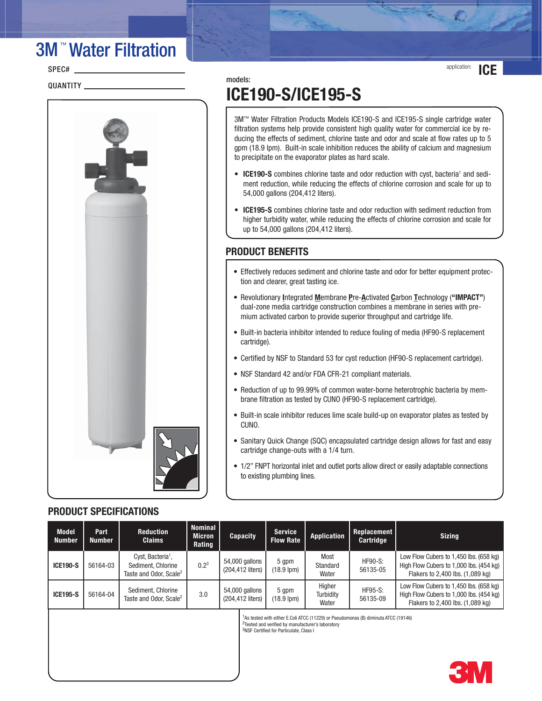# 3M ™ Water Filtration

SPEC#

QUANTITY **With the CONTROL** 



## models: **ICE190-S/ICE195-S**

3M™ Water Filtration Products Models ICE190-S and ICE195-S single cartridge water filtration systems help provide consistent high quality water for commercial ice by reducing the effects of sediment, chlorine taste and odor and scale at flow rates up to 5 gpm (18.9 lpm). Built-in scale inhibition reduces the ability of calcium and magnesium to precipitate on the evaporator plates as hard scale.

- ICE190-S combines chlorine taste and odor reduction with cyst, bacteria<sup>1</sup> and sediment reduction, while reducing the effects of chlorine corrosion and scale for up to 54,000 gallons (204,412 liters).
- **ICE195-S** combines chlorine taste and odor reduction with sediment reduction from higher turbidity water, while reducing the effects of chlorine corrosion and scale for up to 54,000 gallons (204,412 liters).

### **PRODUCT BENEFITS**

- Effectively reduces sediment and chlorine taste and odor for better equipment protection and clearer, great tasting ice.
- Revolutionary **I**ntegrated **M**embrane **P**re-**A**ctivated **C**arbon **T**echnology (**"IMPACT"**) dual-zone media cartridge construction combines a membrane in series with premium activated carbon to provide superior throughput and cartridge life.
- Built-in bacteria inhibitor intended to reduce fouling of media (HF90-S replacement cartridge).
- Certified by NSF to Standard 53 for cyst reduction (HF90-S replacement cartridge).
- NSF Standard 42 and/or FDA CFR-21 compliant materials.
- Reduction of up to 99.99% of common water-borne heterotrophic bacteria by membrane filtration as tested by CUNO (HF90-S replacement cartridge).
- Built-in scale inhibitor reduces lime scale build-up on evaporator plates as tested by CUNO.
- Sanitary Quick Change (SQC) encapsulated cartridge design allows for fast and easy cartridge change-outs with a 1/4 turn.
- 1/2" FNPT horizontal inlet and outlet ports allow direct or easily adaptable connections to existing plumbing lines.

### **PRODUCT SPECIFICATIONS**

| <b>Model</b><br>Number | Part<br><b>Number</b> | <b>Reduction</b><br><b>Claims</b>                                                         | <b>Nominal</b><br><b>Micron</b><br>Rating | <b>Capacity</b>                    | <b>Service</b><br><b>Flow Rate</b>                                                                                                                                                                                      | <b>Application</b>           | Replacement<br>Cartridge   | <b>Sizing</b>                                                                                                         |
|------------------------|-----------------------|-------------------------------------------------------------------------------------------|-------------------------------------------|------------------------------------|-------------------------------------------------------------------------------------------------------------------------------------------------------------------------------------------------------------------------|------------------------------|----------------------------|-----------------------------------------------------------------------------------------------------------------------|
| <b>ICE190-S</b>        | 56164-03              | Cyst, Bacteria <sup>1</sup> ,<br>Sediment, Chlorine<br>Taste and Odor. Scale <sup>2</sup> | $0.2^3$                                   | 54,000 gallons<br>(204,412 liters) | 5 qpm<br>$(18.9 \text{ lpm})$                                                                                                                                                                                           | Most<br>Standard<br>Water    | $HF90-S:$<br>56135-05      | Low Flow Cubers to 1,450 lbs. (658 kg)<br>High Flow Cubers to 1,000 lbs. (454 kg)<br>Flakers to 2,400 lbs. (1,089 kg) |
| <b>ICE195-S</b>        | 56164-04              | Sediment, Chlorine<br>Taste and Odor. Scale <sup>2</sup>                                  | 3.0                                       | 54,000 gallons<br>(204.412 liters) | 5 gpm<br>$(18.9 \text{ lpm})$                                                                                                                                                                                           | Higher<br>Turbidity<br>Water | <b>HF95-S:</b><br>56135-09 | Low Flow Cubers to 1,450 lbs. (658 kg)<br>High Flow Cubers to 1,000 lbs. (454 kg)<br>Flakers to 2,400 lbs. (1,089 kg) |
|                        |                       |                                                                                           |                                           |                                    | <sup>1</sup> As tested with either E.Coli ATCC (11229) or Pseudomonas (B) diminuta ATCC (19146)<br><sup>2</sup> Tested and verified by manufacturer's laboratory<br><sup>3</sup> NSF Certified for Particulate. Class I |                              |                            |                                                                                                                       |



application: **ICE**